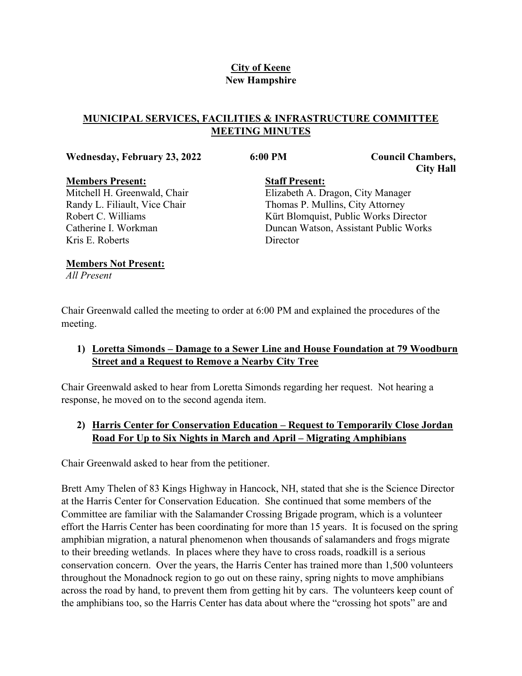# **City of Keene New Hampshire**

# **MUNICIPAL SERVICES, FACILITIES & INFRASTRUCTURE COMMITTEE MEETING MINUTES**

#### **Wednesday, February 23, 2022 6:00 PM Council Chambers,**

**Director** 

**City Hall**

**Members Present:** Mitchell H. Greenwald, Chair Randy L. Filiault, Vice Chair Robert C. Williams Catherine I. Workman Kris E. Roberts

**Staff Present:** Elizabeth A. Dragon, City Manager Thomas P. Mullins, City Attorney Kürt Blomquist, Public Works Director Duncan Watson, Assistant Public Works

#### **Members Not Present:**

*All Present*

Chair Greenwald called the meeting to order at 6:00 PM and explained the procedures of the meeting.

# **1) Loretta Simonds – Damage to a Sewer Line and House Foundation at 79 Woodburn Street and a Request to Remove a Nearby City Tree**

Chair Greenwald asked to hear from Loretta Simonds regarding her request. Not hearing a response, he moved on to the second agenda item.

# **2) Harris Center for Conservation Education – Request to Temporarily Close Jordan Road For Up to Six Nights in March and April – Migrating Amphibians**

Chair Greenwald asked to hear from the petitioner.

Brett Amy Thelen of 83 Kings Highway in Hancock, NH, stated that she is the Science Director at the Harris Center for Conservation Education. She continued that some members of the Committee are familiar with the Salamander Crossing Brigade program, which is a volunteer effort the Harris Center has been coordinating for more than 15 years. It is focused on the spring amphibian migration, a natural phenomenon when thousands of salamanders and frogs migrate to their breeding wetlands. In places where they have to cross roads, roadkill is a serious conservation concern. Over the years, the Harris Center has trained more than 1,500 volunteers throughout the Monadnock region to go out on these rainy, spring nights to move amphibians across the road by hand, to prevent them from getting hit by cars. The volunteers keep count of the amphibians too, so the Harris Center has data about where the "crossing hot spots" are and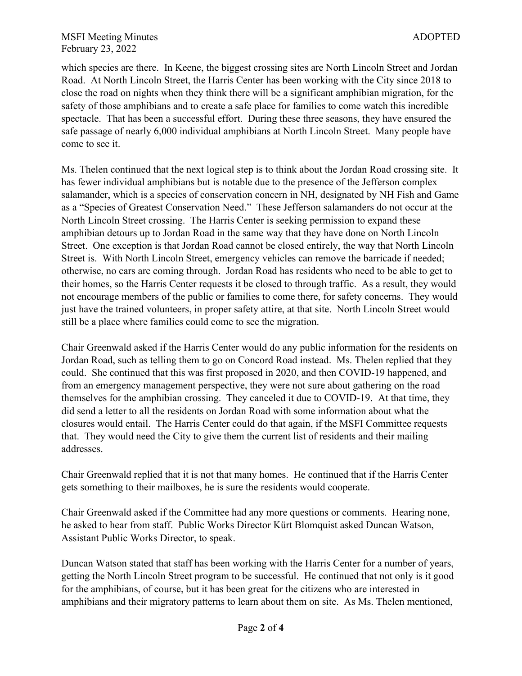which species are there. In Keene, the biggest crossing sites are North Lincoln Street and Jordan Road. At North Lincoln Street, the Harris Center has been working with the City since 2018 to close the road on nights when they think there will be a significant amphibian migration, for the safety of those amphibians and to create a safe place for families to come watch this incredible spectacle. That has been a successful effort. During these three seasons, they have ensured the safe passage of nearly 6,000 individual amphibians at North Lincoln Street. Many people have come to see it.

Ms. Thelen continued that the next logical step is to think about the Jordan Road crossing site. It has fewer individual amphibians but is notable due to the presence of the Jefferson complex salamander, which is a species of conservation concern in NH, designated by NH Fish and Game as a "Species of Greatest Conservation Need." These Jefferson salamanders do not occur at the North Lincoln Street crossing. The Harris Center is seeking permission to expand these amphibian detours up to Jordan Road in the same way that they have done on North Lincoln Street. One exception is that Jordan Road cannot be closed entirely, the way that North Lincoln Street is. With North Lincoln Street, emergency vehicles can remove the barricade if needed; otherwise, no cars are coming through. Jordan Road has residents who need to be able to get to their homes, so the Harris Center requests it be closed to through traffic. As a result, they would not encourage members of the public or families to come there, for safety concerns. They would just have the trained volunteers, in proper safety attire, at that site. North Lincoln Street would still be a place where families could come to see the migration.

Chair Greenwald asked if the Harris Center would do any public information for the residents on Jordan Road, such as telling them to go on Concord Road instead. Ms. Thelen replied that they could. She continued that this was first proposed in 2020, and then COVID-19 happened, and from an emergency management perspective, they were not sure about gathering on the road themselves for the amphibian crossing. They canceled it due to COVID-19. At that time, they did send a letter to all the residents on Jordan Road with some information about what the closures would entail. The Harris Center could do that again, if the MSFI Committee requests that. They would need the City to give them the current list of residents and their mailing addresses.

Chair Greenwald replied that it is not that many homes. He continued that if the Harris Center gets something to their mailboxes, he is sure the residents would cooperate.

Chair Greenwald asked if the Committee had any more questions or comments. Hearing none, he asked to hear from staff. Public Works Director Kürt Blomquist asked Duncan Watson, Assistant Public Works Director, to speak.

Duncan Watson stated that staff has been working with the Harris Center for a number of years, getting the North Lincoln Street program to be successful. He continued that not only is it good for the amphibians, of course, but it has been great for the citizens who are interested in amphibians and their migratory patterns to learn about them on site. As Ms. Thelen mentioned,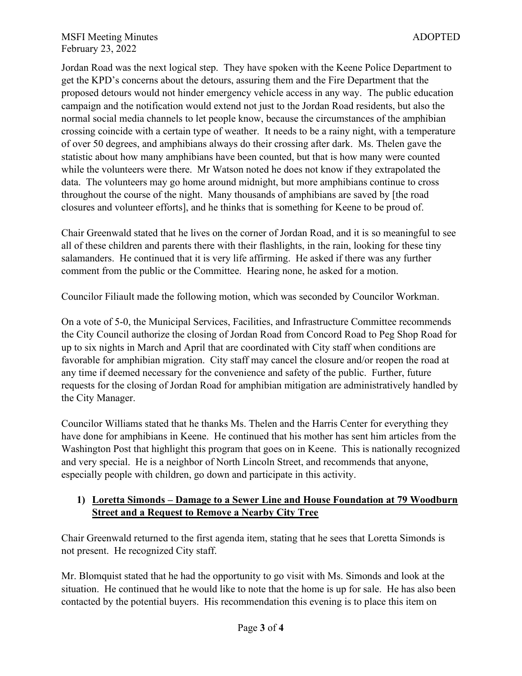Jordan Road was the next logical step. They have spoken with the Keene Police Department to get the KPD's concerns about the detours, assuring them and the Fire Department that the proposed detours would not hinder emergency vehicle access in any way. The public education campaign and the notification would extend not just to the Jordan Road residents, but also the normal social media channels to let people know, because the circumstances of the amphibian crossing coincide with a certain type of weather. It needs to be a rainy night, with a temperature of over 50 degrees, and amphibians always do their crossing after dark. Ms. Thelen gave the statistic about how many amphibians have been counted, but that is how many were counted while the volunteers were there. Mr Watson noted he does not know if they extrapolated the data. The volunteers may go home around midnight, but more amphibians continue to cross throughout the course of the night. Many thousands of amphibians are saved by [the road closures and volunteer efforts], and he thinks that is something for Keene to be proud of.

Chair Greenwald stated that he lives on the corner of Jordan Road, and it is so meaningful to see all of these children and parents there with their flashlights, in the rain, looking for these tiny salamanders. He continued that it is very life affirming. He asked if there was any further comment from the public or the Committee. Hearing none, he asked for a motion.

Councilor Filiault made the following motion, which was seconded by Councilor Workman.

On a vote of 5-0, the Municipal Services, Facilities, and Infrastructure Committee recommends the City Council authorize the closing of Jordan Road from Concord Road to Peg Shop Road for up to six nights in March and April that are coordinated with City staff when conditions are favorable for amphibian migration. City staff may cancel the closure and/or reopen the road at any time if deemed necessary for the convenience and safety of the public. Further, future requests for the closing of Jordan Road for amphibian mitigation are administratively handled by the City Manager.

Councilor Williams stated that he thanks Ms. Thelen and the Harris Center for everything they have done for amphibians in Keene. He continued that his mother has sent him articles from the Washington Post that highlight this program that goes on in Keene. This is nationally recognized and very special. He is a neighbor of North Lincoln Street, and recommends that anyone, especially people with children, go down and participate in this activity.

#### **1) Loretta Simonds – Damage to a Sewer Line and House Foundation at 79 Woodburn Street and a Request to Remove a Nearby City Tree**

Chair Greenwald returned to the first agenda item, stating that he sees that Loretta Simonds is not present. He recognized City staff.

Mr. Blomquist stated that he had the opportunity to go visit with Ms. Simonds and look at the situation. He continued that he would like to note that the home is up for sale. He has also been contacted by the potential buyers. His recommendation this evening is to place this item on